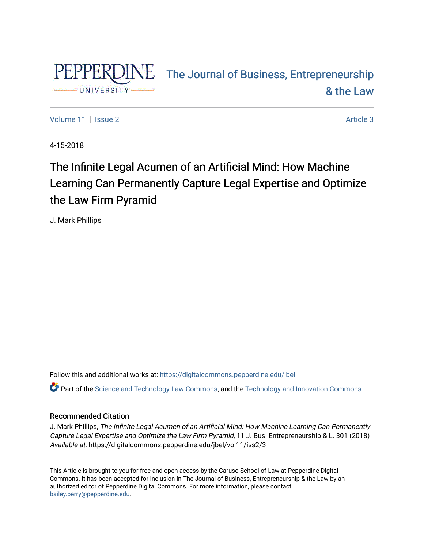

# PEPPERDINE The Journal of Business, Entrepreneurship [& the Law](https://digitalcommons.pepperdine.edu/jbel)

[Volume 11](https://digitalcommons.pepperdine.edu/jbel/vol11) | [Issue 2](https://digitalcommons.pepperdine.edu/jbel/vol11/iss2) Article 3

4-15-2018

# The Infinite Legal Acumen of an Artificial Mind: How Machine Learning Can Permanently Capture Legal Expertise and Optimize the Law Firm Pyramid

J. Mark Phillips

Follow this and additional works at: [https://digitalcommons.pepperdine.edu/jbel](https://digitalcommons.pepperdine.edu/jbel?utm_source=digitalcommons.pepperdine.edu%2Fjbel%2Fvol11%2Fiss2%2F3&utm_medium=PDF&utm_campaign=PDFCoverPages) 

Part of the [Science and Technology Law Commons](http://network.bepress.com/hgg/discipline/875?utm_source=digitalcommons.pepperdine.edu%2Fjbel%2Fvol11%2Fiss2%2F3&utm_medium=PDF&utm_campaign=PDFCoverPages), and the [Technology and Innovation Commons](http://network.bepress.com/hgg/discipline/644?utm_source=digitalcommons.pepperdine.edu%2Fjbel%2Fvol11%2Fiss2%2F3&utm_medium=PDF&utm_campaign=PDFCoverPages)

# Recommended Citation

J. Mark Phillips, The Infinite Legal Acumen of an Artificial Mind: How Machine Learning Can Permanently Capture Legal Expertise and Optimize the Law Firm Pyramid, 11 J. Bus. Entrepreneurship & L. 301 (2018) Available at: https://digitalcommons.pepperdine.edu/jbel/vol11/iss2/3

This Article is brought to you for free and open access by the Caruso School of Law at Pepperdine Digital Commons. It has been accepted for inclusion in The Journal of Business, Entrepreneurship & the Law by an authorized editor of Pepperdine Digital Commons. For more information, please contact [bailey.berry@pepperdine.edu](mailto:bailey.berry@pepperdine.edu).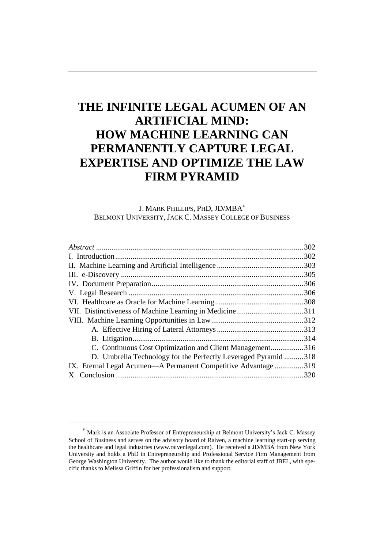# **THE INFINITE LEGAL ACUMEN OF AN ARTIFICIAL MIND: HOW MACHINE LEARNING CAN PERMANENTLY CAPTURE LEGAL EXPERTISE AND OPTIMIZE THE LAW FIRM PYRAMID**

### J. MARK PHILLIPS, PHD, JD/MBA BELMONT UNIVERSITY, JACK C. MASSEY COLLEGE OF BUSINESS

|                                                                | .302 |
|----------------------------------------------------------------|------|
|                                                                |      |
|                                                                |      |
|                                                                | .305 |
|                                                                | .306 |
|                                                                |      |
|                                                                |      |
|                                                                |      |
|                                                                |      |
|                                                                |      |
|                                                                |      |
| C. Continuous Cost Optimization and Client Management316       |      |
| D. Umbrella Technology for the Perfectly Leveraged Pyramid 318 |      |
| IX. Eternal Legal Acumen—A Permanent Competitive Advantage319  |      |
|                                                                | .320 |
|                                                                |      |

Mark is an Associate Professor of Entrepreneurship at Belmont University's Jack C. Massey School of Business and serves on the advisory board of Raiven, a machine learning start-up serving the healthcare and legal industries (www.raivenlegal.com). He received a JD/MBA from New York University and holds a PhD in Entrepreneurship and Professional Service Firm Management from George Washington University. The author would like to thank the editorial staff of JBEL, with specific thanks to Melissa Griffin for her professionalism and support.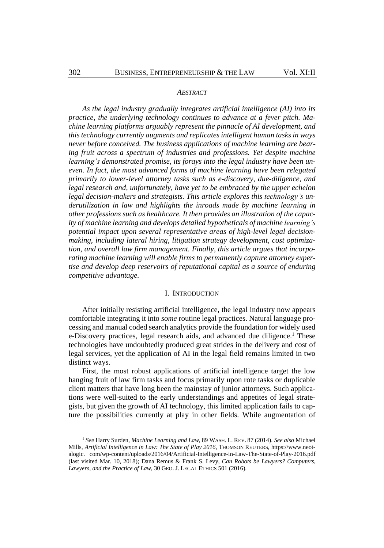#### *ABSTRACT*

*As the legal industry gradually integrates artificial intelligence (AI) into its practice, the underlying technology continues to advance at a fever pitch. Machine learning platforms arguably represent the pinnacle of AI development, and this technology currently augments and replicates intelligent human tasks in ways never before conceived. The business applications of machine learning are bearing fruit across a spectrum of industries and professions. Yet despite machine learning's demonstrated promise, its forays into the legal industry have been uneven. In fact, the most advanced forms of machine learning have been relegated primarily to lower-level attorney tasks such as e-discovery, due-diligence, and legal research and, unfortunately, have yet to be embraced by the upper echelon legal decision-makers and strategists. This article explores this technology's underutilization in law and highlights the inroads made by machine learning in other professions such as healthcare. It then provides an illustration of the capacity of machine learning and develops detailed hypotheticals of machine learning's potential impact upon several representative areas of high-level legal decisionmaking, including lateral hiring, litigation strategy development, cost optimization, and overall law firm management. Finally, this article argues that incorporating machine learning will enable firms to permanently capture attorney expertise and develop deep reservoirs of reputational capital as a source of enduring competitive advantage.*

#### <span id="page-2-0"></span>I. INTRODUCTION

After initially resisting artificial intelligence, the legal industry now appears comfortable integrating it into *some* routine legal practices. Natural language processing and manual coded search analytics provide the foundation for widely used e-Discovery practices, legal research aids, and advanced due diligence.<sup>1</sup> These technologies have undoubtedly produced great strides in the delivery and cost of legal services, yet the application of AI in the legal field remains limited in two distinct ways.

First, the most robust applications of artificial intelligence target the low hanging fruit of law firm tasks and focus primarily upon rote tasks or duplicable client matters that have long been the mainstay of junior attorneys. Such applications were well-suited to the early understandings and appetites of legal strategists, but given the growth of AI technology, this limited application fails to capture the possibilities currently at play in other fields. While augmentation of

<sup>1</sup> *See* Harry Surden, *Machine Learning and Law*, 89 WASH. L. REV. 87 (2014). *See also* Michael Mills, *Artificial Intelligence in Law: The State of Play 2016*, THOMSON REUTERS, https://www.neotalogic. com/wp-content/uploads/2016/04/Artificial-Intelligence-in-Law-The-State-of-Play-2016.pdf (last visited Mar. 10, 2018); Dana Remus & Frank S. Levy, *Can Robots be Lawyers? Computers, Lawyers, and the Practice of Law*, 30 GEO. J. LEGAL ETHICS 501 (2016).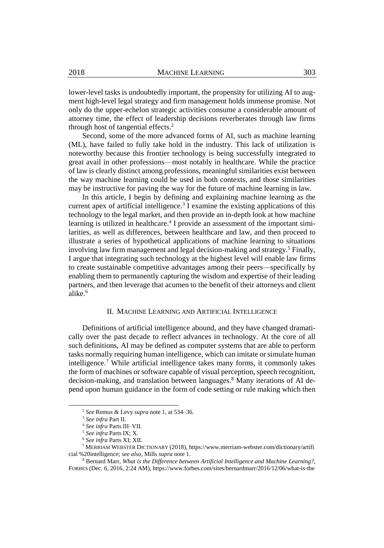lower-level tasks is undoubtedly important, the propensity for utilizing AI to augment high-level legal strategy and firm management holds immense promise. Not only do the upper-echelon strategic activities consume a considerable amount of attorney time, the effect of leadership decisions reverberates through law firms through host of tangential effects. 2

Second, some of the more advanced forms of AI, such as machine learning (ML), have failed to fully take hold in the industry. This lack of utilization is noteworthy because this frontier technology is being successfully integrated to great avail in other professions—most notably in healthcare. While the practice of law is clearly distinct among professions, meaningful similarities exist between the way machine learning could be used in both contexts, and those similarities may be instructive for paving the way for the future of machine learning in law.

In this article, I begin by defining and explaining machine learning as the current apex of artificial intelligence. 3 I examine the existing applications of this technology to the legal market, and then provide an in-depth look at how machine learning is utilized in healthcare. 4 I provide an assessment of the important similarities, as well as differences, between healthcare and law, and then proceed to illustrate a series of hypothetical applications of machine learning to situations involving law firm management and legal decision-making and strategy.<sup>5</sup> Finally, I argue that integrating such technology at the highest level will enable law firms to create sustainable competitive advantages among their peers—specifically by enabling them to permanently capturing the wisdom and expertise of their leading partners, and then leverage that acumen to the benefit of their attorneys and client alike $6$ 

#### <span id="page-3-0"></span>II. MACHINE LEARNING AND ARTIFICIAL INTELLIGENCE

Definitions of artificial intelligence abound, and they have changed dramatically over the past decade to reflect advances in technology. At the core of all such definitions, AI may be defined as computer systems that are able to perform tasks normally requiring human intelligence, which can imitate or simulate human intelligence.<sup>7</sup> While artificial intelligence takes many forms, it commonly takes the form of machines or software capable of visual perception, speech recognition, decision-making, and translation between languages.<sup>8</sup> Many iterations of AI depend upon human guidance in the form of code setting or rule making which then

<sup>2</sup> *See* Remus & Levy *supra* note [1,](#page-2-0) at 534–36.

<sup>3</sup> *See infra* Part II.

<sup>4</sup> *See infra* Parts III–VII.

<sup>5</sup> *See infra* Parts IX; X.

<sup>6</sup> *See infra* Parts XI; XII.

<sup>7</sup> MERRIAM WEBSTER DICTIONARY (2018), https://www.merriam-webster.com/dictionary/artifi cial %20intelligence; *see also*, Mills *supra* note [1.](#page-2-0)

<sup>8</sup> Bernard Marr, *What is the Difference between Artificial Intelligence and Machine Learning?*, FORBES (Dec. 6, 2016, 2:24 AM), https://www.forbes.com/sites/bernardmarr/2016/12/06/what-is-the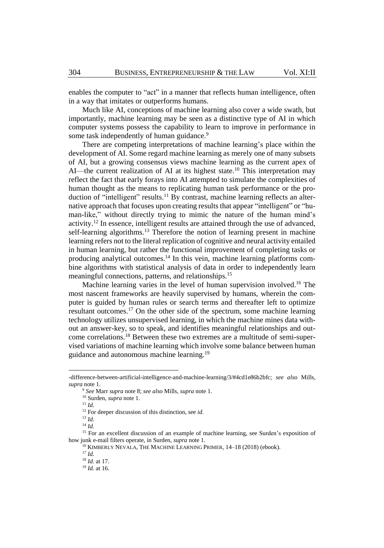enables the computer to "act" in a manner that reflects human intelligence, often in a way that imitates or outperforms humans.

Much like AI, conceptions of machine learning also cover a wide swath, but importantly, machine learning may be seen as a distinctive type of AI in which computer systems possess the capability to learn to improve in performance in some task independently of human guidance.<sup>9</sup>

There are competing interpretations of machine learning's place within the development of AI. Some regard machine learning as merely one of many subsets of AI, but a growing consensus views machine learning as the current apex of AI—the current realization of AI at its highest state.<sup>10</sup> This interpretation may reflect the fact that early forays into AI attempted to simulate the complexities of human thought as the means to replicating human task performance or the production of "intelligent" results.<sup>11</sup> By contrast, machine learning reflects an alternative approach that focuses upon creating results that appear "intelligent" or "human-like," without directly trying to mimic the nature of the human mind's activity.<sup>12</sup> In essence, intelligent results are attained through the use of advanced, self-learning algorithms.<sup>13</sup> Therefore the notion of learning present in machine learning refers not to the literal replication of cognitive and neural activity entailed in human learning, but rather the functional improvement of completing tasks or producing analytical outcomes.<sup>14</sup> In this vein, machine learning platforms combine algorithms with statistical analysis of data in order to independently learn meaningful connections, patterns, and relationships.<sup>15</sup>

Machine learning varies in the level of human supervision involved.<sup>16</sup> The most nascent frameworks are heavily supervised by humans, wherein the computer is guided by human rules or search terms and thereafter left to optimize resultant outcomes.<sup>17</sup> On the other side of the spectrum, some machine learning technology utilizes unsupervised learning, in which the machine mines data without an answer-key, so to speak, and identifies meaningful relationships and outcome correlations.<sup>18</sup> Between these two extremes are a multitude of semi-supervised variations of machine learning which involve some balance between human guidance and autonomous machine learning.<sup>19</sup>

<sup>11</sup> *Id.*

<sup>-</sup>difference-between-artificial-intelligence-and-machine-learning/3/#4cd1e86b2bfc; *see also* Mills, *supra* note [1.](#page-2-0)

<sup>9</sup> *See* Marr *supra* note [8;](#page-3-0) *see also* Mills, *supra* note [1.](#page-2-0)

<sup>10</sup> Surden, *supra* note [1.](#page-2-0)

<sup>12</sup> For deeper discussion of this distinction, see *id.*

<sup>13</sup> *Id.*

<sup>14</sup> *Id.*

<sup>&</sup>lt;sup>15</sup> For an excellent discussion of an example of machine learning, see Surden's exposition of how junk e-mail filters operate, in Surden, *supra* note [1.](#page-2-0)

<sup>&</sup>lt;sup>16</sup> KIMBERLY NEVALA, THE MACHINE LEARNING PRIMER, 14–18 (2018) (ebook).

<sup>17</sup> *Id.*

<sup>18</sup> *Id.* at 17.

<sup>19</sup> *Id.* at 16.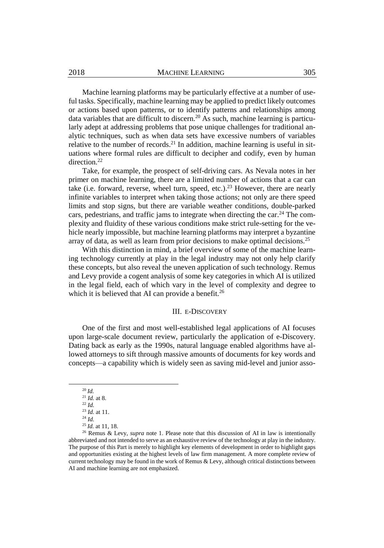Machine learning platforms may be particularly effective at a number of useful tasks. Specifically, machine learning may be applied to predict likely outcomes or actions based upon patterns, or to identify patterns and relationships among data variables that are difficult to discern.<sup>20</sup> As such, machine learning is particularly adept at addressing problems that pose unique challenges for traditional analytic techniques, such as when data sets have excessive numbers of variables relative to the number of records.<sup>21</sup> In addition, machine learning is useful in situations where formal rules are difficult to decipher and codify, even by human direction.<sup>22</sup>

Take, for example, the prospect of self-driving cars. As Nevala notes in her primer on machine learning, there are a limited number of actions that a car can take (i.e. forward, reverse, wheel turn, speed, etc.).<sup>23</sup> However, there are nearly infinite variables to interpret when taking those actions; not only are there speed limits and stop signs, but there are variable weather conditions, double-parked cars, pedestrians, and traffic jams to integrate when directing the car.<sup>24</sup> The complexity and fluidity of these various conditions make strict rule-setting for the vehicle nearly impossible, but machine learning platforms may interpret a byzantine array of data, as well as learn from prior decisions to make optimal decisions.<sup>25</sup>

With this distinction in mind, a brief overview of some of the machine learning technology currently at play in the legal industry may not only help clarify these concepts, but also reveal the uneven application of such technology. Remus and Levy provide a cogent analysis of some key categories in which AI is utilized in the legal field, each of which vary in the level of complexity and degree to which it is believed that AI can provide a benefit.<sup>26</sup>

#### III. E-DISCOVERY

One of the first and most well-established legal applications of AI focuses upon large-scale document review, particularly the application of e-Discovery. Dating back as early as the 1990s, natural language enabled algorithms have allowed attorneys to sift through massive amounts of documents for key words and concepts—a capability which is widely seen as saving mid-level and junior asso-

<sup>20</sup> *Id.*

 $^{21}$  *Id.* at 8. <sup>22</sup> *Id.*

<sup>23</sup> *Id.* at 11.

<sup>24</sup> *Id.*

<sup>25</sup> *Id.* at 11, 18.

<sup>26</sup> Remus & Levy, *supra* note [1.](#page-2-0) Please note that this discussion of AI in law is intentionally abbreviated and not intended to serve as an exhaustive review of the technology at play in the industry. The purpose of this Part is merely to highlight key elements of development in order to highlight gaps and opportunities existing at the highest levels of law firm management. A more complete review of current technology may be found in the work of Remus & Levy, although critical distinctions between AI and machine learning are not emphasized.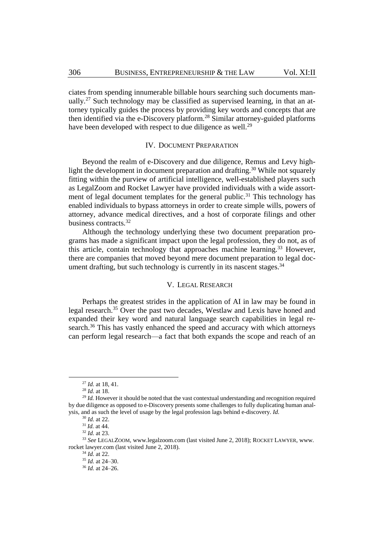ciates from spending innumerable billable hours searching such documents manually.<sup>27</sup> Such technology may be classified as supervised learning, in that an attorney typically guides the process by providing key words and concepts that are then identified via the e-Discovery platform.<sup>28</sup> Similar attorney-guided platforms have been developed with respect to due diligence as well.<sup>29</sup>

# IV. DOCUMENT PREPARATION

Beyond the realm of e-Discovery and due diligence, Remus and Levy highlight the development in document preparation and drafting.<sup>30</sup> While not squarely fitting within the purview of artificial intelligence, well-established players such as LegalZoom and Rocket Lawyer have provided individuals with a wide assortment of legal document templates for the general public.<sup>31</sup> This technology has enabled individuals to bypass attorneys in order to create simple wills, powers of attorney, advance medical directives, and a host of corporate filings and other business contracts.<sup>32</sup>

Although the technology underlying these two document preparation programs has made a significant impact upon the legal profession, they do not, as of this article, contain technology that approaches machine learning.<sup>33</sup> However, there are companies that moved beyond mere document preparation to legal document drafting, but such technology is currently in its nascent stages. $34$ 

#### V. LEGAL RESEARCH

Perhaps the greatest strides in the application of AI in law may be found in legal research. <sup>35</sup> Over the past two decades, Westlaw and Lexis have honed and expanded their key word and natural language search capabilities in legal research.<sup>36</sup> This has vastly enhanced the speed and accuracy with which attorneys can perform legal research—a fact that both expands the scope and reach of an

<sup>27</sup> *Id.* at 18, 41.

<sup>28</sup> *Id.* at 18.

<sup>&</sup>lt;sup>29</sup> *Id.* However it should be noted that the vast contextual understanding and recognition required by due diligence as opposed to e-Discovery presents some challenges to fully duplicating human analysis, and as such the level of usage by the legal profession lags behind e-discovery. *Id.*

<sup>30</sup> *Id.* at 22.

<sup>31</sup> *Id.* at 44.

<sup>32</sup> *Id.* at 23.

<sup>33</sup> *See* LEGALZOOM, www.legalzoom.com (last visited June 2, 2018); ROCKET LAWYER, www. rocket lawyer.com (last visited June 2, 2018).

<sup>34</sup> *Id.* at 22.

<sup>35</sup> *Id.* at 24–30.

<sup>36</sup> *Id.* at 24–26.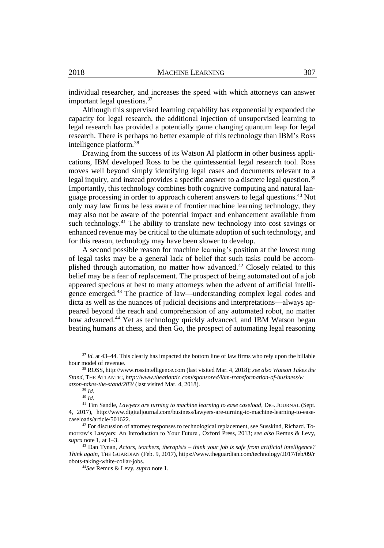individual researcher, and increases the speed with which attorneys can answer important legal questions.<sup>37</sup>

Although this supervised learning capability has exponentially expanded the capacity for legal research, the additional injection of unsupervised learning to legal research has provided a potentially game changing quantum leap for legal research. There is perhaps no better example of this technology than IBM's Ross intelligence platform.<sup>38</sup>

Drawing from the success of its Watson AI platform in other business applications, IBM developed Ross to be the quintessential legal research tool. Ross moves well beyond simply identifying legal cases and documents relevant to a legal inquiry, and instead provides a specific answer to a discrete legal question.<sup>39</sup> Importantly, this technology combines both cognitive computing and natural language processing in order to approach coherent answers to legal questions.<sup>40</sup> Not only may law firms be less aware of frontier machine learning technology, they may also not be aware of the potential impact and enhancement available from such technology.<sup>41</sup> The ability to translate new technology into cost savings or enhanced revenue may be critical to the ultimate adoption of such technology, and for this reason, technology may have been slower to develop.

A second possible reason for machine learning's position at the lowest rung of legal tasks may be a general lack of belief that such tasks could be accomplished through automation, no matter how advanced.<sup>42</sup> Closely related to this belief may be a fear of replacement. The prospect of being automated out of a job appeared specious at best to many attorneys when the advent of artificial intelligence emerged.<sup>43</sup> The practice of law—understanding complex legal codes and dicta as well as the nuances of judicial decisions and interpretations—always appeared beyond the reach and comprehension of any automated robot, no matter how advanced.<sup>44</sup> Yet as technology quickly advanced, and IBM Watson began beating humans at chess, and then Go, the prospect of automating legal reasoning

<sup>&</sup>lt;sup>37</sup> *Id.* at 43–44. This clearly has impacted the bottom line of law firms who rely upon the billable hour model of revenue.

<sup>38</sup> ROSS, http://www.rossintelligence.com (last visited Mar. 4, 2018); *see also Watson Takes the Stand,* THE ATLANTIC, *http://www.theatlantic.com/sponsored/ibm-transformation-of-business/w atson-takes-the-stand/283/* (last visited Mar. 4, 2018).

<sup>39</sup> *Id.*

<sup>40</sup> *Id.*

<sup>&</sup>lt;sup>41</sup> Tim Sandle, *Lawyers are turning to machine learning to ease caseload*, DIG. JOURNAL (Sept. 4, 2017), http://www.digitaljournal.com/business/lawyers-are-turning-to-machine-learning-to-easecaseloads/article/501622.

<sup>&</sup>lt;sup>42</sup> For discussion of attorney responses to technological replacement, see Susskind, Richard. Tomorrow's Lawyers: An Introduction to Your Future., Oxford Press, 2013; *see also* Remus & Levy, *supra* not[e 1,](#page-2-0) at 1–3.

<sup>43</sup> Dan Tynan, *Actors, teachers, therapists – think your job is safe from artificial intelligence? Think again*, THE GUARDIAN (Feb. 9, 2017), https://www.theguardian.com/technology/2017/feb/09/r obots-taking-white-collar-jobs.

<sup>44</sup>*See* Remus & Levy, *supra* not[e 1.](#page-2-0)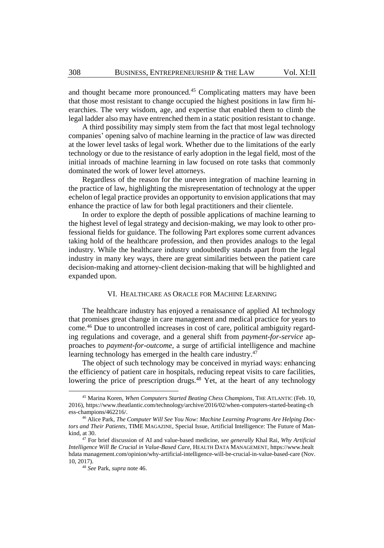and thought became more pronounced.<sup>45</sup> Complicating matters may have been that those most resistant to change occupied the highest positions in law firm hierarchies. The very wisdom, age, and expertise that enabled them to climb the legal ladder also may have entrenched them in a static position resistant to change.

A third possibility may simply stem from the fact that most legal technology companies' opening salvo of machine learning in the practice of law was directed at the lower level tasks of legal work. Whether due to the limitations of the early technology or due to the resistance of early adoption in the legal field, most of the initial inroads of machine learning in law focused on rote tasks that commonly dominated the work of lower level attorneys.

Regardless of the reason for the uneven integration of machine learning in the practice of law, highlighting the misrepresentation of technology at the upper echelon of legal practice provides an opportunity to envision applications that may enhance the practice of law for both legal practitioners and their clientele.

In order to explore the depth of possible applications of machine learning to the highest level of legal strategy and decision-making, we may look to other professional fields for guidance. The following Part explores some current advances taking hold of the healthcare profession, and then provides analogs to the legal industry. While the healthcare industry undoubtedly stands apart from the legal industry in many key ways, there are great similarities between the patient care decision-making and attorney-client decision-making that will be highlighted and expanded upon.

#### VI. HEALTHCARE AS ORACLE FOR MACHINE LEARNING

<span id="page-8-0"></span>The healthcare industry has enjoyed a renaissance of applied AI technology that promises great change in care management and medical practice for years to come.<sup>46</sup> Due to uncontrolled increases in cost of care, political ambiguity regarding regulations and coverage, and a general shift from *payment-for-service* approaches to *payment-for-outcome*, a surge of artificial intelligence and machine learning technology has emerged in the health care industry.<sup>47</sup>

The object of such technology may be conceived in myriad ways: enhancing the efficiency of patient care in hospitals, reducing repeat visits to care facilities, lowering the price of prescription drugs.<sup>48</sup> Yet, at the heart of any technology

<sup>45</sup> Marina Koren, *When Computers Started Beating Chess Champions*, THE ATLANTIC (Feb. 10, 2016), https://www.theatlantic.com/technology/archive/2016/02/when-computers-started-beating-ch ess-champions/462216/.

<sup>46</sup> Alice Park, *The Computer Will See You Now: Machine Learning Programs Are Helping Doctors and Their Patients*, TIME MAGAZINE, Special Issue, Artificial Intelligence: The Future of Mankind, at 30.

<sup>47</sup> For brief discussion of AI and value-based medicine, *see generally* Khal Rai, *Why Artificial Intelligence Will Be Crucial in Value-Based Care*, HEALTH DATA MANAGEMENT, https://www.healt hdata management.com/opinion/why-artificial-intelligence-will-be-crucial-in-value-based-care (Nov. 10, 2017).

<sup>48</sup> *See* Park, *supra* note [46.](#page-8-0)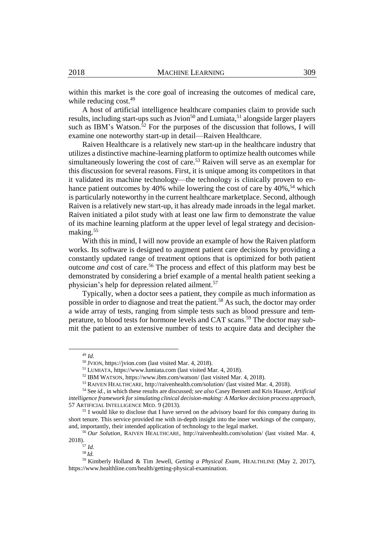within this market is the core goal of increasing the outcomes of medical care, while reducing cost.<sup>49</sup>

A host of artificial intelligence healthcare companies claim to provide such results, including start-ups such as Jvion<sup>50</sup> and Lumiata,  $51$  alongside larger players such as IBM's Watson.<sup>52</sup> For the purposes of the discussion that follows, I will examine one noteworthy start-up in detail—Raiven Healthcare.

Raiven Healthcare is a relatively new start-up in the healthcare industry that utilizes a distinctive machine-learning platform to optimize health outcomes while simultaneously lowering the cost of care.<sup>53</sup> Raiven will serve as an exemplar for this discussion for several reasons. First, it is unique among its competitors in that it validated its machine technology—the technology is clinically proven to enhance patient outcomes by 40% while lowering the cost of care by 40%,<sup>54</sup> which is particularly noteworthy in the current healthcare marketplace. Second, although Raiven is a relatively new start-up, it has already made inroads in the legal market. Raiven initiated a pilot study with at least one law firm to demonstrate the value of its machine learning platform at the upper level of legal strategy and decisionmaking.<sup>55</sup>

<span id="page-9-0"></span>With this in mind, I will now provide an example of how the Raiven platform works. Its software is designed to augment patient care decisions by providing a constantly updated range of treatment options that is optimized for both patient outcome *and* cost of care.<sup>56</sup> The process and effect of this platform may best be demonstrated by considering a brief example of a mental health patient seeking a physician's help for depression related ailment.<sup>57</sup>

Typically, when a doctor sees a patient, they compile as much information as possible in order to diagnose and treat the patient.<sup>58</sup> As such, the doctor may order a wide array of tests, ranging from simple tests such as blood pressure and temperature, to blood tests for hormone levels and CAT scans.<sup>59</sup> The doctor may submit the patient to an extensive number of tests to acquire data and decipher the

<sup>49</sup> *Id.*

<sup>50</sup> JVION, https://jvion.com (last visited Mar. 4, 2018).

<sup>51</sup> LUMIATA, [https://www.lumiata.com](https://www.lumiata.com/) (last visited Mar. 4, 2018).

<sup>52</sup> IBM WATSON, https://www.ibm.com/watson/ (last visited Mar. 4, 2018).

<sup>53</sup> RAIVEN HEALTHCARE, http://raivenhealth.com/solution/ (last visited Mar. 4, 2018).

<sup>54</sup> See *id.*, in which these results are discussed; *see also* Casey Bennett and Kris Hauser, *Artificial intelligence framework forsimulating clinical decision-making: A Markov decision process approach*, 57 ARTIFICIAL INTELLIGENCE MED. 9 (2013).

<sup>55</sup> I would like to disclose that I have served on the advisory board for this company during its short tenure. This service provided me with in-depth insight into the inner workings of the company, and, importantly, their intended application of technology to the legal market.

<sup>56</sup> *Our Solution*, RAIVEN HEALTHCARE, http://raivenhealth.com/solution/ (last visited Mar. 4, 2018).

<sup>57</sup> *Id.*

<sup>58</sup> *Id.*

<sup>59</sup> Kimberly Holland & Tim Jewell, *Getting a Physical Exam*, HEALTHLINE (May 2, 2017), https://www.healthline.com/health/getting-physical-examination.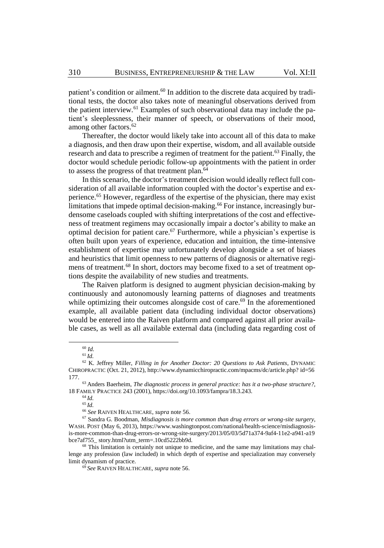patient's condition or ailment.<sup>60</sup> In addition to the discrete data acquired by traditional tests, the doctor also takes note of meaningful observations derived from the patient interview.<sup>61</sup> Examples of such observational data may include the patient's sleeplessness, their manner of speech, or observations of their mood, among other factors.<sup>62</sup>

Thereafter, the doctor would likely take into account all of this data to make a diagnosis, and then draw upon their expertise, wisdom, and all available outside research and data to prescribe a regimen of treatment for the patient.<sup>63</sup> Finally, the doctor would schedule periodic follow-up appointments with the patient in order to assess the progress of that treatment plan.<sup>64</sup>

In this scenario, the doctor's treatment decision would ideally reflect full consideration of all available information coupled with the doctor's expertise and experience.<sup>65</sup> However, regardless of the expertise of the physician, there may exist limitations that impede optimal decision-making.<sup>66</sup> For instance, increasingly burdensome caseloads coupled with shifting interpretations of the cost and effectiveness of treatment regimens may occasionally impair a doctor's ability to make an optimal decision for patient care.<sup>67</sup> Furthermore, while a physician's expertise is often built upon years of experience, education and intuition, the time-intensive establishment of expertise may unfortunately develop alongside a set of biases and heuristics that limit openness to new patterns of diagnosis or alternative regimens of treatment.<sup>68</sup> In short, doctors may become fixed to a set of treatment options despite the availability of new studies and treatments.

The Raiven platform is designed to augment physician decision-making by continuously and autonomously learning patterns of diagnoses and treatments while optimizing their outcomes alongside cost of care.<sup>69</sup> In the aforementioned example, all available patient data (including individual doctor observations) would be entered into the Raiven platform and compared against all prior available cases, as well as all available external data (including data regarding cost of

 $\overline{a}$ 

<sup>65</sup> *Id.*

<sup>60</sup> *Id.*

 $^{61}\,Id.$ 

<sup>62</sup> K. Jeffrey Miller, *Filling in for Another Doctor: 20 Questions to Ask Patients*, DYNAMIC CHIROPRACTIC (Oct. 21, 2012), http://www.dynamicchiropractic.com/mpacms/dc/article.php? id=56 177.

<sup>63</sup> Anders Baerheim, *The diagnostic process in general practice: has it a two-phase structure?*, 18 FAMILY PRACTICE 243 (2001), https://doi.org/10.1093/fampra/18.3.243.

<sup>64</sup> *Id.*

<sup>66</sup> *See* RAIVEN HEALTHCARE, *supra* note [56.](#page-9-0)

<sup>67</sup> Sandra G. Boodman, *Misdiagnosis is more common than drug errors or wrong-site surgery*, WASH. POST (May 6, 2013), https://www.washingtonpost.com/national/health-science/misdiagnosisis-more-common-than-drug-errors-or-wrong-site-surgery/2013/05/03/5d71a374-9af4-11e2-a941-a19 bce7af755\_ story.html?utm\_term=.10cd5222bb9d.

<sup>&</sup>lt;sup>68</sup> This limitation is certainly not unique to medicine, and the same may limitations may challenge any profession (law included) in which depth of expertise and specialization may conversely limit dynamism of practice.

<sup>69</sup> *See* RAIVEN HEALTHCARE, *supra* note [56.](#page-9-0)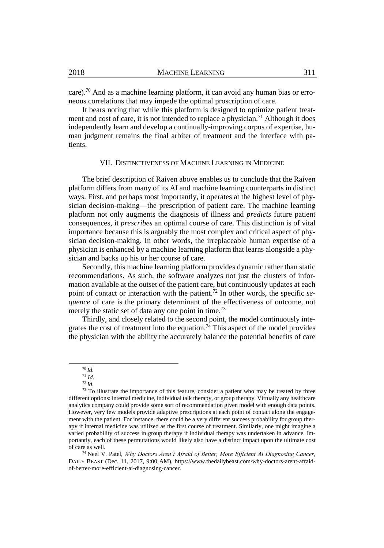care).<sup>70</sup> And as a machine learning platform, it can avoid any human bias or erroneous correlations that may impede the optimal proscription of care.

It bears noting that while this platform is designed to optimize patient treatment and cost of care, it is not intended to replace a physician.<sup>71</sup> Although it does independently learn and develop a continually-improving corpus of expertise, human judgment remains the final arbiter of treatment and the interface with patients.

#### VII. DISTINCTIVENESS OF MACHINE LEARNING IN MEDICINE

The brief description of Raiven above enables us to conclude that the Raiven platform differs from many of its AI and machine learning counterparts in distinct ways. First, and perhaps most importantly, it operates at the highest level of physician decision-making—the prescription of patient care. The machine learning platform not only augments the diagnosis of illness and *predicts* future patient consequences, it *prescribes* an optimal course of care. This distinction is of vital importance because this is arguably the most complex and critical aspect of physician decision-making. In other words, the irreplaceable human expertise of a physician is enhanced by a machine learning platform that learns alongside a physician and backs up his or her course of care.

Secondly, this machine learning platform provides dynamic rather than static recommendations. As such, the software analyzes not just the clusters of information available at the outset of the patient care, but continuously updates at each point of contact or interaction with the patient.<sup>72</sup> In other words, the specific *sequence* of care is the primary determinant of the effectiveness of outcome, not merely the static set of data any one point in time.<sup>73</sup>

Thirdly, and closely related to the second point, the model continuously integrates the cost of treatment into the equation.<sup>74</sup> This aspect of the model provides the physician with the ability the accurately balance the potential benefits of care

<sup>70</sup> *Id.*

<sup>71</sup> *Id.*

<sup>72</sup> *Id.*

<sup>&</sup>lt;sup>73</sup> To illustrate the importance of this feature, consider a patient who may be treated by three different options: internal medicine, individual talk therapy, or group therapy. Virtually any healthcare analytics company could provide some sort of recommendation given model with enough data points. However, very few models provide adaptive prescriptions at each point of contact along the engagement with the patient. For instance, there could be a very different success probability for group therapy if internal medicine was utilized as the first course of treatment. Similarly, one might imagine a varied probability of success in group therapy if individual therapy was undertaken in advance. Importantly, each of these permutations would likely also have a distinct impact upon the ultimate cost of care as well.

<sup>74</sup> Neel V. Patel, *Why Doctors Aren't Afraid of Better, More Efficient AI Diagnosing Cancer*, DAILY BEAST (Dec. 11, 2017, 9:00 AM), https://www.thedailybeast.com/why-doctors-arent-afraidof-better-more-efficient-ai-diagnosing-cancer.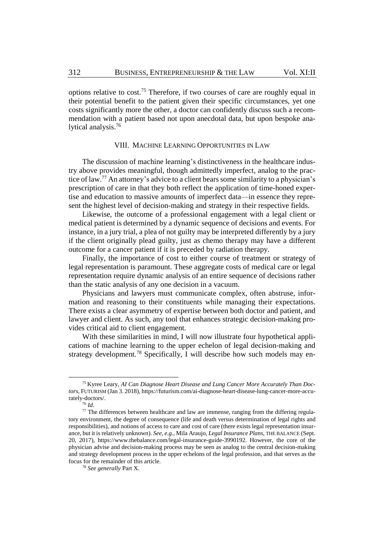options relative to cost.<sup>75</sup> Therefore, if two courses of care are roughly equal in their potential benefit to the patient given their specific circumstances, yet one costs significantly more the other, a doctor can confidently discuss such a recommendation with a patient based not upon anecdotal data, but upon bespoke analytical analysis.<sup>76</sup>

# VIII. MACHINE LEARNING OPPORTUNITIES IN LAW

The discussion of machine learning's distinctiveness in the healthcare industry above provides meaningful, though admittedly imperfect, analog to the practice of law.<sup>77</sup> An attorney's advice to a client bears some similarity to a physician's prescription of care in that they both reflect the application of time-honed expertise and education to massive amounts of imperfect data—in essence they represent the highest level of decision-making and strategy in their respective fields.

Likewise, the outcome of a professional engagement with a legal client or medical patient is determined by a dynamic sequence of decisions and events. For instance, in a jury trial, a plea of not guilty may be interpreted differently by a jury if the client originally plead guilty, just as chemo therapy may have a different outcome for a cancer patient if it is preceded by radiation therapy.

Finally, the importance of cost to either course of treatment or strategy of legal representation is paramount. These aggregate costs of medical care or legal representation require dynamic analysis of an entire sequence of decisions rather than the static analysis of any one decision in a vacuum.

Physicians and lawyers must communicate complex, often abstruse, information and reasoning to their constituents while managing their expectations. There exists a clear asymmetry of expertise between both doctor and patient, and lawyer and client. As such, any tool that enhances strategic decision-making provides critical aid to client engagement.

With these similarities in mind, I will now illustrate four hypothetical applications of machine learning to the upper echelon of legal decision-making and strategy development.<sup>78</sup> Specifically, I will describe how such models may en-

<sup>75</sup> Kyree Leary, *AI Can Diagnose Heart Disease and Lung Cancer More Accurately Than Doctors*, FUTURISM (Jan 3. 2018), https://futurism.com/ai-diagnose-heart-disease-lung-cancer-more-accurately-doctors/.

<sup>76</sup> *Id.* 

 $^{77}$  The differences between healthcare and law are immense, ranging from the differing regulatory environment, the degree of consequence (life and death versus determination of legal rights and responsibilities), and notions of access to care and cost of care (there exists legal representation insurance, but it is relatively unknown). *See, e.g.*, Mila Araujo, *Legal Insurance Plans*, THE BALANCE (Sept. 20, 2017), https://www.thebalance.com/legal-insurance-guide-3990192. However, the core of the physician advise and decision-making process may be seen as analog to the central decision-making and strategy development process in the upper echelons of the legal profession, and that serves as the focus for the remainder of this article.

<sup>78</sup> *See generally* Part X.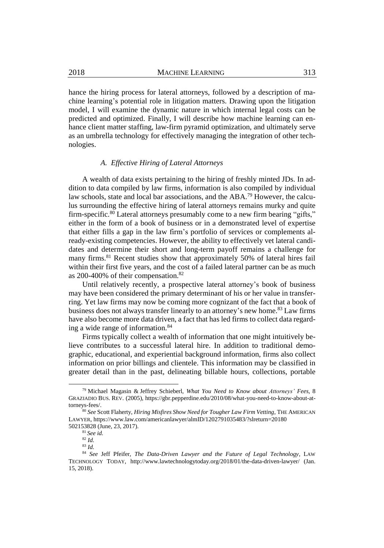hance the hiring process for lateral attorneys, followed by a description of machine learning's potential role in litigation matters. Drawing upon the litigation model, I will examine the dynamic nature in which internal legal costs can be predicted and optimized. Finally, I will describe how machine learning can enhance client matter staffing, law-firm pyramid optimization, and ultimately serve as an umbrella technology for effectively managing the integration of other technologies.

#### <span id="page-13-0"></span>*A. Effective Hiring of Lateral Attorneys*

A wealth of data exists pertaining to the hiring of freshly minted JDs. In addition to data compiled by law firms, information is also compiled by individual law schools, state and local bar associations, and the ABA.<sup>79</sup> However, the calculus surrounding the effective hiring of lateral attorneys remains murky and quite firm-specific.<sup>80</sup> Lateral attorneys presumably come to a new firm bearing "gifts," either in the form of a book of business or in a demonstrated level of expertise that either fills a gap in the law firm's portfolio of services or complements already-existing competencies. However, the ability to effectively vet lateral candidates and determine their short and long-term payoff remains a challenge for many firms.<sup>81</sup> Recent studies show that approximately 50% of lateral hires fail within their first five years, and the cost of a failed lateral partner can be as much as 200-400% of their compensation.<sup>82</sup>

Until relatively recently, a prospective lateral attorney's book of business may have been considered the primary determinant of his or her value in transferring. Yet law firms may now be coming more cognizant of the fact that a book of business does not always transfer linearly to an attorney's new home.<sup>83</sup> Law firms have also become more data driven, a fact that has led firms to collect data regarding a wide range of information.<sup>84</sup>

Firms typically collect a wealth of information that one might intuitively believe contributes to a successful lateral hire. In addition to traditional demographic, educational, and experiential background information, firms also collect information on prior billings and clientele. This information may be classified in greater detail than in the past, delineating billable hours, collections, portable

<sup>79</sup> Michael Magasin & Jeffrey Schieberl, *What You Need to Know about Attorneys' Fees,* 8 GRAZIADIO BUS. REV. (2005), https://gbr.pepperdine.edu/2010/08/what-you-need-to-know-about-attorneys-fees/.

<sup>80</sup> *See* Scott Flaherty, *Hiring Misfires Show Need for Tougher Law Firm Vetting*, THE AMERICAN LAWYER, https://www.law.com/americanlawyer/almID/1202791035483/?slreturn=20180 502153828 (June, 23, 2017).

<sup>81</sup> *See id.* 

<sup>82</sup> *Id.* 

<sup>83</sup> *Id.*

<sup>84</sup> *See* Jeff Pfeifer, *The Data-Driven Lawyer and the Future of Legal Technology*, LAW TECHNOLOGY TODAY, http://www.lawtechnologytoday.org/2018/01/the-data-driven-lawyer/ (Jan. 15, 2018).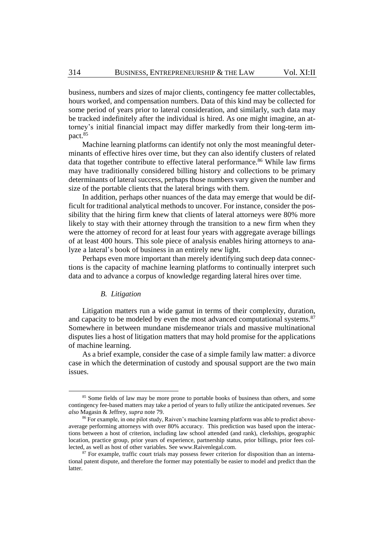business, numbers and sizes of major clients, contingency fee matter collectables, hours worked, and compensation numbers. Data of this kind may be collected for some period of years prior to lateral consideration, and similarly, such data may be tracked indefinitely after the individual is hired. As one might imagine, an attorney's initial financial impact may differ markedly from their long-term impact.<sup>85</sup>

Machine learning platforms can identify not only the most meaningful determinants of effective hires over time, but they can also identify clusters of related data that together contribute to effective lateral performance.<sup>86</sup> While law firms may have traditionally considered billing history and collections to be primary determinants of lateral success, perhaps those numbers vary given the number and size of the portable clients that the lateral brings with them.

In addition, perhaps other nuances of the data may emerge that would be difficult for traditional analytical methods to uncover. For instance, consider the possibility that the hiring firm knew that clients of lateral attorneys were 80% more likely to stay with their attorney through the transition to a new firm when they were the attorney of record for at least four years with aggregate average billings of at least 400 hours. This sole piece of analysis enables hiring attorneys to analyze a lateral's book of business in an entirely new light.

Perhaps even more important than merely identifying such deep data connections is the capacity of machine learning platforms to continually interpret such data and to advance a corpus of knowledge regarding lateral hires over time.

#### *B. Litigation*

Litigation matters run a wide gamut in terms of their complexity, duration, and capacity to be modeled by even the most advanced computational systems.<sup>87</sup> Somewhere in between mundane misdemeanor trials and massive multinational disputes lies a host of litigation matters that may hold promise for the applications of machine learning.

As a brief example, consider the case of a simple family law matter: a divorce case in which the determination of custody and spousal support are the two main issues.

<sup>&</sup>lt;sup>85</sup> Some fields of law may be more prone to portable books of business than others, and some contingency fee-based matters may take a period of years to fully utilize the anticipated revenues. *See also* Magasin & Jeffrey, *supra* not[e 79.](#page-13-0)

<sup>86</sup> For example, in one pilot study, Raiven's machine learning platform was able to predict aboveaverage performing attorneys with over 80% accuracy. This prediction was based upon the interactions between a host of criterion, including law school attended (and rank), clerkships, geographic location, practice group, prior years of experience, partnership status, prior billings, prior fees collected, as well as host of other variables. Se[e www.Raivenlegal.com.](http://www.raivenlegal.com/) 

<sup>&</sup>lt;sup>87</sup> For example, traffic court trials may possess fewer criterion for disposition than an international patent dispute, and therefore the former may potentially be easier to model and predict than the latter.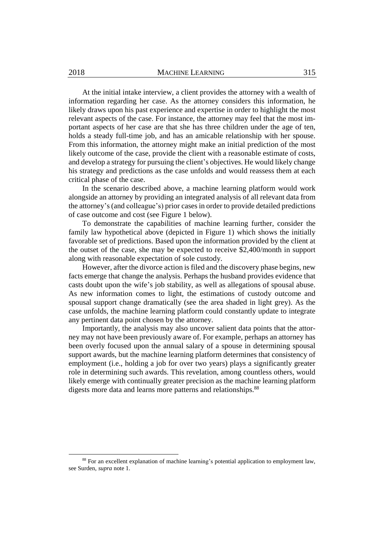At the initial intake interview, a client provides the attorney with a wealth of information regarding her case. As the attorney considers this information, he likely draws upon his past experience and expertise in order to highlight the most relevant aspects of the case. For instance, the attorney may feel that the most important aspects of her case are that she has three children under the age of ten, holds a steady full-time job, and has an amicable relationship with her spouse. From this information, the attorney might make an initial prediction of the most likely outcome of the case, provide the client with a reasonable estimate of costs, and develop a strategy for pursuing the client's objectives. He would likely change his strategy and predictions as the case unfolds and would reassess them at each critical phase of the case.

In the scenario described above, a machine learning platform would work alongside an attorney by providing an integrated analysis of all relevant data from the attorney's(and colleague's) prior casesin order to provide detailed predictions of case outcome and cost (see Figure 1 below).

To demonstrate the capabilities of machine learning further, consider the family law hypothetical above (depicted in Figure 1) which shows the initially favorable set of predictions. Based upon the information provided by the client at the outset of the case, she may be expected to receive \$2,400/month in support along with reasonable expectation of sole custody.

However, after the divorce action is filed and the discovery phase begins, new facts emerge that change the analysis. Perhaps the husband provides evidence that casts doubt upon the wife's job stability, as well as allegations of spousal abuse. As new information comes to light, the estimations of custody outcome and spousal support change dramatically (see the area shaded in light grey). As the case unfolds, the machine learning platform could constantly update to integrate any pertinent data point chosen by the attorney.

Importantly, the analysis may also uncover salient data points that the attorney may not have been previously aware of. For example, perhaps an attorney has been overly focused upon the annual salary of a spouse in determining spousal support awards, but the machine learning platform determines that consistency of employment (i.e., holding a job for over two years) plays a significantly greater role in determining such awards. This revelation, among countless others, would likely emerge with continually greater precision as the machine learning platform digests more data and learns more patterns and relationships.<sup>88</sup>

<sup>88</sup> For an excellent explanation of machine learning's potential application to employment law, see Surden, *supra* note [1.](#page-2-0)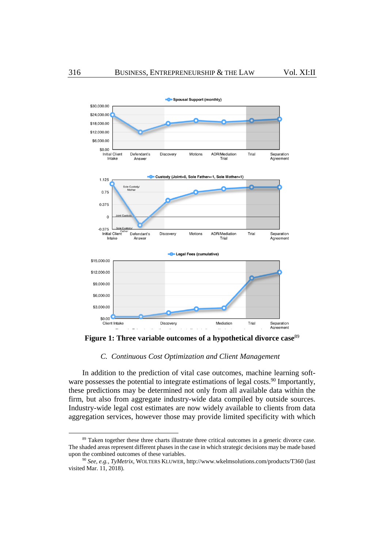

**Figure 1: Three variable outcomes of a hypothetical divorce case**<sup>89</sup>

#### *C. Continuous Cost Optimization and Client Management*

In addition to the prediction of vital case outcomes, machine learning software possesses the potential to integrate estimations of legal costs.<sup>90</sup> Importantly, these predictions may be determined not only from all available data within the firm, but also from aggregate industry-wide data compiled by outside sources. Industry-wide legal cost estimates are now widely available to clients from data aggregation services, however those may provide limited specificity with which

<sup>&</sup>lt;sup>89</sup> Taken together these three charts illustrate three critical outcomes in a generic divorce case. The shaded areas represent different phases in the case in which strategic decisions may be made based upon the combined outcomes of these variables.

<sup>90</sup> *See, e.g.*, *TyMetrix*, WOLTERS KLUWER, http://www.wkelmsolutions.com/products/T360 (last visited Mar. 11, 2018).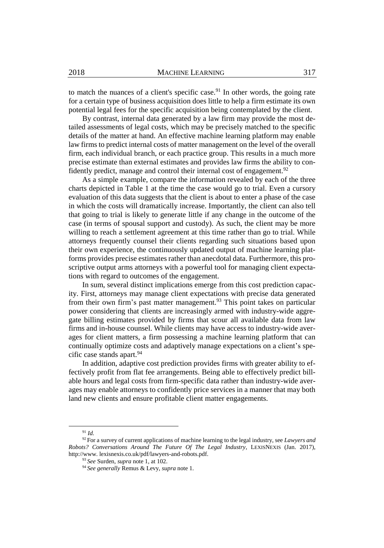to match the nuances of a client's specific case.<sup>91</sup> In other words, the going rate for a certain type of business acquisition does little to help a firm estimate its own potential legal fees for the specific acquisition being contemplated by the client.

By contrast, internal data generated by a law firm may provide the most detailed assessments of legal costs, which may be precisely matched to the specific details of the matter at hand. An effective machine learning platform may enable law firms to predict internal costs of matter management on the level of the overall firm, each individual branch, or each practice group. This results in a much more precise estimate than external estimates and provides law firms the ability to confidently predict, manage and control their internal cost of engagement.<sup>92</sup>

As a simple example, compare the information revealed by each of the three charts depicted in Table 1 at the time the case would go to trial. Even a cursory evaluation of this data suggests that the client is about to enter a phase of the case in which the costs will dramatically increase. Importantly, the client can also tell that going to trial is likely to generate little if any change in the outcome of the case (in terms of spousal support and custody). As such, the client may be more willing to reach a settlement agreement at this time rather than go to trial. While attorneys frequently counsel their clients regarding such situations based upon their own experience, the continuously updated output of machine learning platforms provides precise estimates rather than anecdotal data. Furthermore, this proscriptive output arms attorneys with a powerful tool for managing client expectations with regard to outcomes of the engagement.

In sum, several distinct implications emerge from this cost prediction capacity. First, attorneys may manage client expectations with precise data generated from their own firm's past matter management.<sup>93</sup> This point takes on particular power considering that clients are increasingly armed with industry-wide aggregate billing estimates provided by firms that scour all available data from law firms and in-house counsel. While clients may have access to industry-wide averages for client matters, a firm possessing a machine learning platform that can continually optimize costs and adaptively manage expectations on a client's specific case stands apart. $94$ 

In addition, adaptive cost prediction provides firms with greater ability to effectively profit from flat fee arrangements. Being able to effectively predict billable hours and legal costs from firm-specific data rather than industry-wide averages may enable attorneys to confidently price services in a manner that may both land new clients and ensure profitable client matter engagements.

<sup>91</sup> *Id.*

<sup>92</sup> For a survey of current applications of machine learning to the legal industry, see *Lawyers and Robots? Conversations Around The Future Of The Legal Industry*, LEXISNEXIS (Jan. 2017), http://www. lexisnexis.co.uk/pdf/lawyers-and-robots.pdf.

<sup>93</sup> *See* Surden, *supra* note [1,](#page-2-0) at 102.

<sup>94</sup> *See generally* Remus & Levy, *supra* not[e 1.](#page-2-0)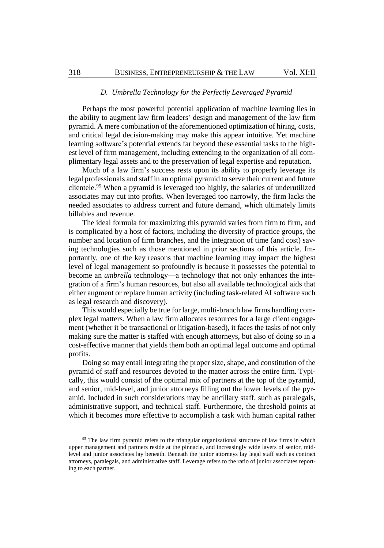### *D. Umbrella Technology for the Perfectly Leveraged Pyramid*

Perhaps the most powerful potential application of machine learning lies in the ability to augment law firm leaders' design and management of the law firm pyramid. A mere combination of the aforementioned optimization of hiring, costs, and critical legal decision-making may make this appear intuitive. Yet machine learning software's potential extends far beyond these essential tasks to the highest level of firm management, including extending to the organization of all complimentary legal assets and to the preservation of legal expertise and reputation.

Much of a law firm's success rests upon its ability to properly leverage its legal professionals and staff in an optimal pyramid to serve their current and future clientele.<sup>95</sup> When a pyramid is leveraged too highly, the salaries of underutilized associates may cut into profits. When leveraged too narrowly, the firm lacks the needed associates to address current and future demand, which ultimately limits billables and revenue.

The ideal formula for maximizing this pyramid varies from firm to firm, and is complicated by a host of factors, including the diversity of practice groups, the number and location of firm branches, and the integration of time (and cost) saving technologies such as those mentioned in prior sections of this article. Importantly, one of the key reasons that machine learning may impact the highest level of legal management so profoundly is because it possesses the potential to become an *umbrella* technology—a technology that not only enhances the integration of a firm's human resources, but also all available technological aids that either augment or replace human activity (including task-related AI software such as legal research and discovery).

This would especially be true for large, multi-branch law firms handling complex legal matters. When a law firm allocates resources for a large client engagement (whether it be transactional or litigation-based), it faces the tasks of not only making sure the matter is staffed with enough attorneys, but also of doing so in a cost-effective manner that yields them both an optimal legal outcome and optimal profits.

Doing so may entail integrating the proper size, shape, and constitution of the pyramid of staff and resources devoted to the matter across the entire firm. Typically, this would consist of the optimal mix of partners at the top of the pyramid, and senior, mid-level, and junior attorneys filling out the lower levels of the pyramid. Included in such considerations may be ancillary staff, such as paralegals, administrative support, and technical staff. Furthermore, the threshold points at which it becomes more effective to accomplish a task with human capital rather

<sup>&</sup>lt;sup>95</sup> The law firm pyramid refers to the triangular organizational structure of law firms in which upper management and partners reside at the pinnacle, and increasingly wide layers of senior, midlevel and junior associates lay beneath. Beneath the junior attorneys lay legal staff such as contract attorneys, paralegals, and administrative staff. Leverage refers to the ratio of junior associates reporting to each partner.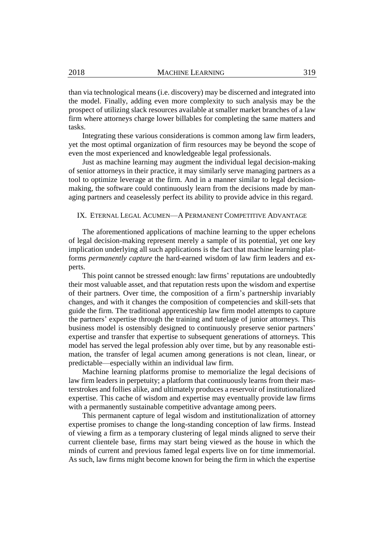than via technological means (i.e. discovery) may be discerned and integrated into the model. Finally, adding even more complexity to such analysis may be the prospect of utilizing slack resources available at smaller market branches of a law firm where attorneys charge lower billables for completing the same matters and tasks.

Integrating these various considerations is common among law firm leaders, yet the most optimal organization of firm resources may be beyond the scope of even the most experienced and knowledgeable legal professionals.

Just as machine learning may augment the individual legal decision-making of senior attorneys in their practice, it may similarly serve managing partners as a tool to optimize leverage at the firm. And in a manner similar to legal decisionmaking, the software could continuously learn from the decisions made by managing partners and ceaselessly perfect its ability to provide advice in this regard.

#### IX. ETERNAL LEGAL ACUMEN—A PERMANENT COMPETITIVE ADVANTAGE

The aforementioned applications of machine learning to the upper echelons of legal decision-making represent merely a sample of its potential, yet one key implication underlying all such applications is the fact that machine learning platforms *permanently capture* the hard-earned wisdom of law firm leaders and experts.

This point cannot be stressed enough: law firms' reputations are undoubtedly their most valuable asset, and that reputation rests upon the wisdom and expertise of their partners. Over time, the composition of a firm's partnership invariably changes, and with it changes the composition of competencies and skill-sets that guide the firm. The traditional apprenticeship law firm model attempts to capture the partners' expertise through the training and tutelage of junior attorneys. This business model is ostensibly designed to continuously preserve senior partners' expertise and transfer that expertise to subsequent generations of attorneys. This model has served the legal profession ably over time, but by any reasonable estimation, the transfer of legal acumen among generations is not clean, linear, or predictable—especially within an individual law firm.

Machine learning platforms promise to memorialize the legal decisions of law firm leaders in perpetuity; a platform that continuously learns from their masterstrokes and follies alike, and ultimately produces a reservoir of institutionalized expertise. This cache of wisdom and expertise may eventually provide law firms with a permanently sustainable competitive advantage among peers.

This permanent capture of legal wisdom and institutionalization of attorney expertise promises to change the long-standing conception of law firms. Instead of viewing a firm as a temporary clustering of legal minds aligned to serve their current clientele base, firms may start being viewed as the house in which the minds of current and previous famed legal experts live on for time immemorial. As such, law firms might become known for being the firm in which the expertise